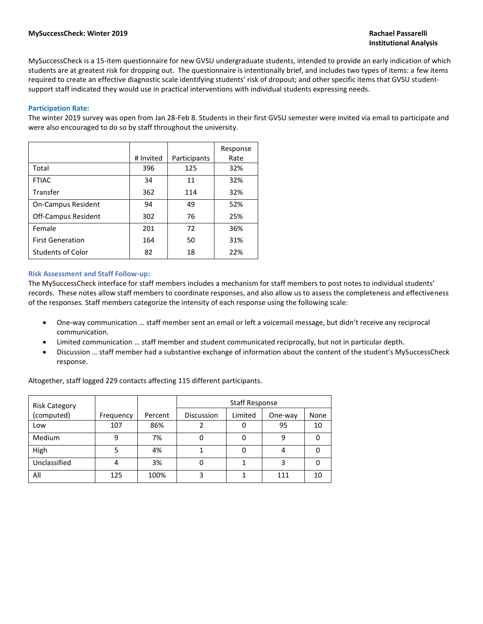MySuccessCheck is a 15-item questionnaire for new GVSU undergraduate students, intended to provide an early indication of which students are at greatest risk for dropping out. The questionnaire is intentionally brief, and includes two types of items: a few items required to create an effective diagnostic scale identifying students' risk of dropout; and other specific items that GVSU studentsupport staff indicated they would use in practical interventions with individual students expressing needs.

#### **Participation Rate:**

The winter 2019 survey was open from Jan 28-Feb 8. Students in their first GVSU semester were invited via email to participate and were also encouraged to do so by staff throughout the university.

|                            |           |              | Response |
|----------------------------|-----------|--------------|----------|
|                            | # Invited | Participants | Rate     |
| Total                      | 396       | 125          | 32%      |
| <b>FTIAC</b>               | 34        | 11           | 32%      |
| Transfer                   | 362       | 114          | 32%      |
| <b>On-Campus Resident</b>  | 94        | 49           | 52%      |
| <b>Off-Campus Resident</b> | 302       | 76           | 25%      |
| Female                     | 201       | 72           | 36%      |
| <b>First Generation</b>    | 164       | 50           | 31%      |
| <b>Students of Color</b>   | 82        | 18           | 22%      |

#### **Risk Assessment and Staff Follow-up:**

The MySuccessCheck interface for staff members includes a mechanism for staff members to post notes to individual students' records. These notes allow staff members to coordinate responses, and also allow us to assess the completeness and effectiveness of the responses. Staff members categorize the intensity of each response using the following scale:

- One-way communication … staff member sent an email or left a voicemail message, but didn't receive any reciprocal communication.
- Limited communication … staff member and student communicated reciprocally, but not in particular depth.
- Discussion … staff member had a substantive exchange of information about the content of the student's MySuccessCheck response.

Altogether, staff logged 229 contacts affecting 115 different participants.

| <b>Risk Category</b> |           |         | <b>Staff Response</b> |         |         |      |  |
|----------------------|-----------|---------|-----------------------|---------|---------|------|--|
| (computed)           | Frequency | Percent | Discussion            | Limited | One-way | None |  |
| Low                  | 107       | 86%     |                       |         | 95      | 10   |  |
| Medium               | q         | 7%      | 0                     |         | 9       |      |  |
| High                 |           | 4%      |                       |         | 4       |      |  |
| Unclassified         | 4         | 3%      | 0                     |         | 3       |      |  |
| All                  | 125       | 100%    |                       |         | 111     | 10   |  |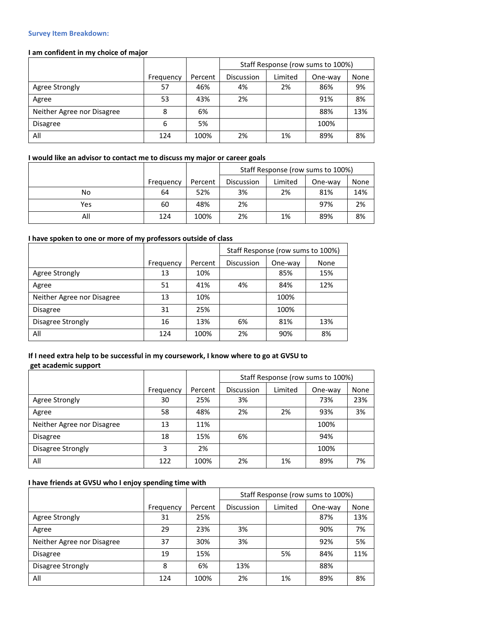#### **Survey Item Breakdown:**

## **I am confident in my choice of major**

|                            |           |         | Staff Response (row sums to 100%) |         |         |      |
|----------------------------|-----------|---------|-----------------------------------|---------|---------|------|
|                            | Frequency | Percent | Discussion                        | Limited | One-way | None |
| Agree Strongly             | 57        | 46%     | 4%                                | 2%      | 86%     | 9%   |
| Agree                      | 53        | 43%     | 2%                                |         | 91%     | 8%   |
| Neither Agree nor Disagree | 8         | 6%      |                                   |         | 88%     | 13%  |
| <b>Disagree</b>            | 6         | 5%      |                                   |         | 100%    |      |
| All                        | 124       | 100%    | 2%                                | 1%      | 89%     | 8%   |

#### **I would like an advisor to contact me to discuss my major or career goals**

|     |           |         | Staff Response (row sums to 100%) |         |         |      |  |
|-----|-----------|---------|-----------------------------------|---------|---------|------|--|
|     | Frequency | Percent | Discussion                        | Limited | One-way | None |  |
| No  | 64        | 52%     | 3%                                | 2%      | 81%     | 14%  |  |
| Yes | 60        | 48%     | 2%                                |         | 97%     | 2%   |  |
| All | 124       | 100%    | 2%                                | 1%      | 89%     | 8%   |  |

# **I have spoken to one or more of my professors outside of class**

|                            |           |         | Staff Response (row sums to 100%) |         |      |
|----------------------------|-----------|---------|-----------------------------------|---------|------|
|                            | Frequency | Percent | Discussion                        | One-way | None |
| Agree Strongly             | 13        | 10%     |                                   | 85%     | 15%  |
| Agree                      | 51        | 41%     | 4%                                | 84%     | 12%  |
| Neither Agree nor Disagree | 13        | 10%     |                                   | 100%    |      |
| <b>Disagree</b>            | 31        | 25%     |                                   | 100%    |      |
| Disagree Strongly          | 16        | 13%     | 6%                                | 81%     | 13%  |
| All                        | 124       | 100%    | 2%                                | 90%     | 8%   |

## **If I need extra help to be successful in my coursework, I know where to go at GVSU to get academic support**

|                            |           |         | Staff Response (row sums to 100%) |         |         |      |
|----------------------------|-----------|---------|-----------------------------------|---------|---------|------|
|                            | Frequency | Percent | Discussion                        | Limited | One-way | None |
| Agree Strongly             | 30        | 25%     | 3%                                |         | 73%     | 23%  |
| Agree                      | 58        | 48%     | 2%                                | 2%      | 93%     | 3%   |
| Neither Agree nor Disagree | 13        | 11%     |                                   |         | 100%    |      |
| <b>Disagree</b>            | 18        | 15%     | 6%                                |         | 94%     |      |
| Disagree Strongly          | 3         | 2%      |                                   |         | 100%    |      |
| All                        | 122       | 100%    | 2%                                | 1%      | 89%     | 7%   |

#### **I have friends at GVSU who I enjoy spending time with**

|                            |           |         | Staff Response (row sums to 100%) |         |         |      |
|----------------------------|-----------|---------|-----------------------------------|---------|---------|------|
|                            | Frequency | Percent | Discussion                        | Limited | One-way | None |
| Agree Strongly             | 31        | 25%     |                                   |         | 87%     | 13%  |
| Agree                      | 29        | 23%     | 3%                                |         | 90%     | 7%   |
| Neither Agree nor Disagree | 37        | 30%     | 3%                                |         | 92%     | 5%   |
| <b>Disagree</b>            | 19        | 15%     |                                   | 5%      | 84%     | 11%  |
| Disagree Strongly          | 8         | 6%      | 13%                               |         | 88%     |      |
| All                        | 124       | 100%    | 2%                                | 1%      | 89%     | 8%   |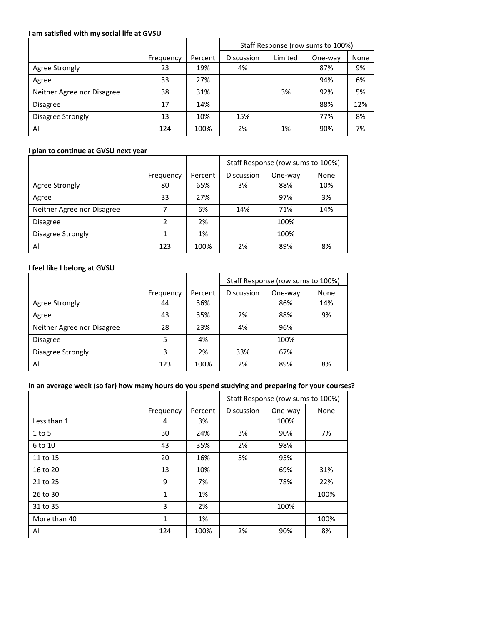## **I am satisfied with my social life at GVSU**

|                            |           |         | Staff Response (row sums to 100%) |         |         |      |  |
|----------------------------|-----------|---------|-----------------------------------|---------|---------|------|--|
|                            | Frequency | Percent | <b>Discussion</b>                 | Limited | One-way | None |  |
| Agree Strongly             | 23        | 19%     | 4%                                |         | 87%     | 9%   |  |
| Agree                      | 33        | 27%     |                                   |         | 94%     | 6%   |  |
| Neither Agree nor Disagree | 38        | 31%     |                                   | 3%      | 92%     | 5%   |  |
| <b>Disagree</b>            | 17        | 14%     |                                   |         | 88%     | 12%  |  |
| Disagree Strongly          | 13        | 10%     | 15%                               |         | 77%     | 8%   |  |
| All                        | 124       | 100%    | 2%                                | 1%      | 90%     | 7%   |  |

## **I plan to continue at GVSU next year**

|                            |           |         | Staff Response (row sums to 100%) |         |      |
|----------------------------|-----------|---------|-----------------------------------|---------|------|
|                            | Frequency | Percent | Discussion                        | One-way | None |
| Agree Strongly             | 80        | 65%     | 3%                                | 88%     | 10%  |
| Agree                      | 33        | 27%     |                                   | 97%     | 3%   |
| Neither Agree nor Disagree | 7         | 6%      | 14%                               | 71%     | 14%  |
| <b>Disagree</b>            | 2         | 2%      |                                   | 100%    |      |
| Disagree Strongly          |           | 1%      |                                   | 100%    |      |
| All                        | 123       | 100%    | 2%                                | 89%     | 8%   |

## **I feel like I belong at GVSU**

|                            |           |         | Staff Response (row sums to 100%) |         |      |
|----------------------------|-----------|---------|-----------------------------------|---------|------|
|                            | Frequency | Percent | <b>Discussion</b>                 | One-way | None |
| Agree Strongly             | 44        | 36%     |                                   | 86%     | 14%  |
| Agree                      | 43        | 35%     | 2%                                | 88%     | 9%   |
| Neither Agree nor Disagree | 28        | 23%     | 4%                                | 96%     |      |
| <b>Disagree</b>            | 5         | 4%      |                                   | 100%    |      |
| Disagree Strongly          | 3         | 2%      | 33%                               | 67%     |      |
| All                        | 123       | 100%    | 2%                                | 89%     | 8%   |

# **In an average week (so far) how many hours do you spend studying and preparing for your courses?**

|              |              |         | Staff Response (row sums to 100%) |         |      |
|--------------|--------------|---------|-----------------------------------|---------|------|
|              | Frequency    | Percent | <b>Discussion</b>                 | One-way | None |
| Less than 1  | 4            | 3%      |                                   | 100%    |      |
| $1$ to 5     | 30           | 24%     | 3%                                | 90%     | 7%   |
| 6 to 10      | 43           | 35%     | 2%                                | 98%     |      |
| 11 to 15     | 20           | 16%     | 5%                                | 95%     |      |
| 16 to 20     | 13           | 10%     |                                   | 69%     | 31%  |
| 21 to 25     | 9            | 7%      |                                   | 78%     | 22%  |
| 26 to 30     | $\mathbf{1}$ | 1%      |                                   |         | 100% |
| 31 to 35     | 3            | 2%      |                                   | 100%    |      |
| More than 40 | 1            | 1%      |                                   |         | 100% |
| All          | 124          | 100%    | 2%                                | 90%     | 8%   |